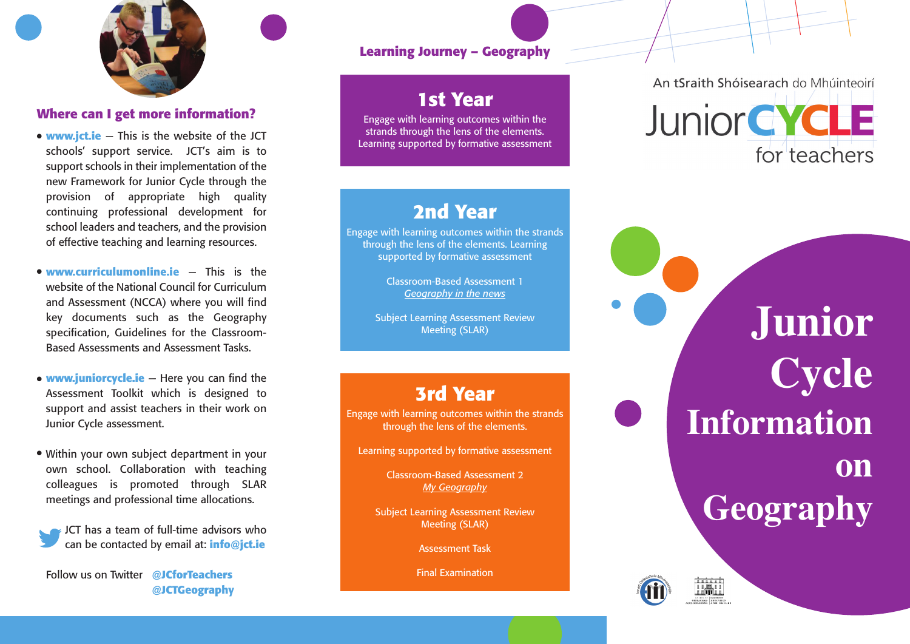

## Where can I get more information?

- **www.jct.ie** This is the website of the JCT schools' support service.  $\,$  JCT's aim is to support schools in their implementation of the new Framework for Junior Cycle through the provision of appropriate high quality continuing professional development for school leaders and teachers, and the provision of effective teaching and learning resources. ●●●●
- **www.curriculumonline.ie This is the** website of the National Council for Curriculum and Assessment (NCCA) where you will find key documents such as the Geography specification, Guidelines for the Classroom-Based Assessments and Assessment Tasks.
- **www.juniorcycle.ie** Here you can find the Assessment Toolkit which is designed to support and assist teachers in their work on Junior Cycle assessment.
- Within your own subject department in your own school. Collaboration with teaching colleagues is promoted through SLAR meetings and professional time allocations.
- JCT has a team of full-time advisors who can be contacted by email at: info@jct.ie

**Follow us on Twitter** @JCforTeachers **@ J C TG e o g r a p h y**

## Learning Journey – Geography

# **1st Year**

Engage with learning outcomes within the strands through the lens of the elements. Learning supported by formative assessment

## **2 n d Ye a r**

Engage with learning outcomes within the strands through the lens of the elements. Learning supported by formative assessment

> Classroom-Based Assessment 1 *G e o g rap h y in th e n e ws*

Subject Learning Assessment Review Meeting (SLAR)

## **3 r d Ye a r**

Engage with learning outcomes within the strands through the lens of the elements.

Learning supported by formative assessment

Classroom-Based Assessment 2 *My G e o g rap h y*

Subject Learning Assessment Review Meeting (SLAR)

Assessment Task

Final Examination

An tSraith Shóisearach do Mhúinteoirí



**J u n i o r C y c l e** Information **o n Geography**